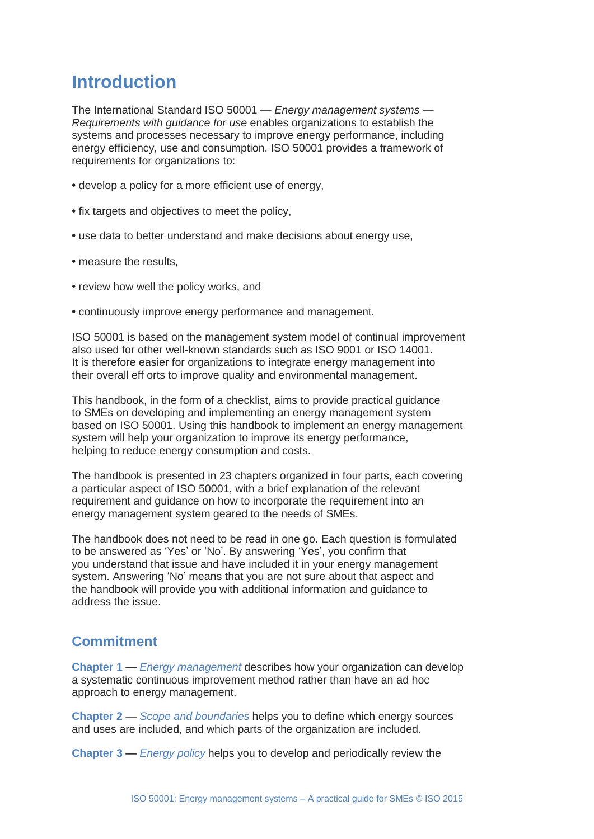# **Introduction**

The International Standard ISO 50001 — *Energy management systems — Requirements with guidance for use* enables organizations to establish the systems and processes necessary to improve energy performance, including energy efficiency, use and consumption. ISO 50001 provides a framework of requirements for organizations to:

- **•** develop a policy for a more efficient use of energy,
- **•** fix targets and objectives to meet the policy,
- **•** use data to better understand and make decisions about energy use,
- **•** measure the results,
- **•** review how well the policy works, and
- **•** continuously improve energy performance and management.

ISO 50001 is based on the management system model of continual improvement also used for other well-known standards such as ISO 9001 or ISO 14001. It is therefore easier for organizations to integrate energy management into their overall eff orts to improve quality and environmental management.

This handbook, in the form of a checklist, aims to provide practical guidance to SMEs on developing and implementing an energy management system based on ISO 50001. Using this handbook to implement an energy management system will help your organization to improve its energy performance, helping to reduce energy consumption and costs.

The handbook is presented in 23 chapters organized in four parts, each covering a particular aspect of ISO 50001, with a brief explanation of the relevant requirement and guidance on how to incorporate the requirement into an energy management system geared to the needs of SMEs.

The handbook does not need to be read in one go. Each question is formulated to be answered as 'Yes' or 'No'. By answering 'Yes', you confirm that you understand that issue and have included it in your energy management system. Answering 'No' means that you are not sure about that aspect and the handbook will provide you with additional information and guidance to address the issue.

## **Commitment**

**Chapter 1** — *Energy management* describes how your organization can develop a systematic continuous improvement method rather than have an ad hoc approach to energy management.

**Chapter 2** — *Scope and boundaries* helps you to define which energy sources and uses are included, and which parts of the organization are included.

**Chapter 3** — *Energy policy* helps you to develop and periodically review the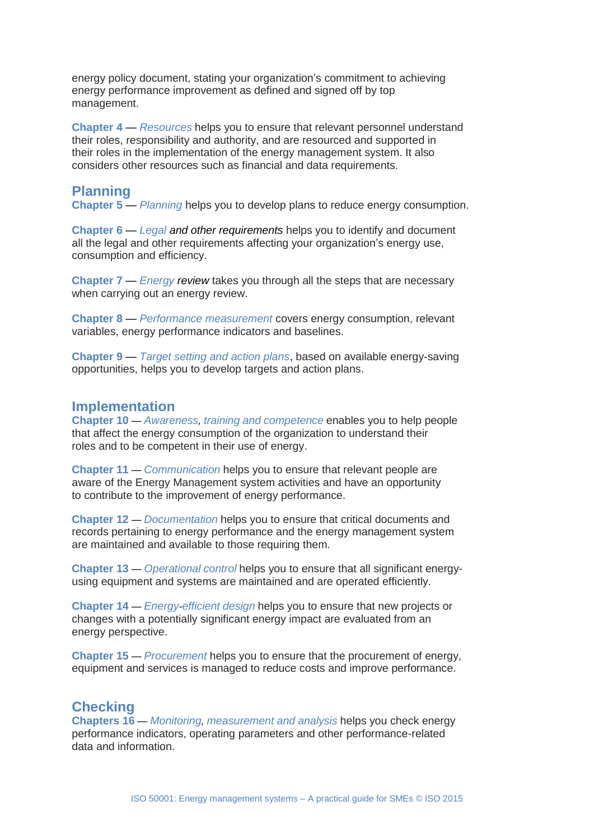energy policy document, stating your organization's commitment to achieving energy performance improvement as defined and signed off by top management.

**Chapter 4** — *Resources* helps you to ensure that relevant personnel understand their roles, responsibility and authority, and are resourced and supported in their roles in the implementation of the energy management system. It also considers other resources such as financial and data requirements.

#### **Planning**

**Chapter 5** — *Planning* helps you to develop plans to reduce energy consumption.

**Chapter 6** — *Legal and other requirements* helps you to identify and document all the legal and other requirements affecting your organization's energy use, consumption and efficiency.

**Chapter 7** — *Energy review* takes you through all the steps that are necessary when carrying out an energy review.

**Chapter 8** — *Performance measurement* covers energy consumption, relevant variables, energy performance indicators and baselines.

**Chapter 9** — *Target setting and action plans*, based on available energy-saving opportunities, helps you to develop targets and action plans.

#### **Implementation**

**Chapter 10** — *Awareness, training and competence* enables you to help people that affect the energy consumption of the organization to understand their roles and to be competent in their use of energy.

**Chapter 11** — *Communication* helps you to ensure that relevant people are aware of the Energy Management system activities and have an opportunity to contribute to the improvement of energy performance.

**Chapter 12** — *Documentation* helps you to ensure that critical documents and records pertaining to energy performance and the energy management system are maintained and available to those requiring them.

**Chapter 13** — *Operational control* helps you to ensure that all significant energyusing equipment and systems are maintained and are operated efficiently.

**Chapter 14** — *Energy-efficient design* helps you to ensure that new projects or changes with a potentially significant energy impact are evaluated from an energy perspective.

**Chapter 15** — *Procurement* helps you to ensure that the procurement of energy, equipment and services is managed to reduce costs and improve performance.

### **Checking**

**Chapters 16** — *Monitoring, measurement and analysis* helps you check energy performance indicators, operating parameters and other performance-related data and information.